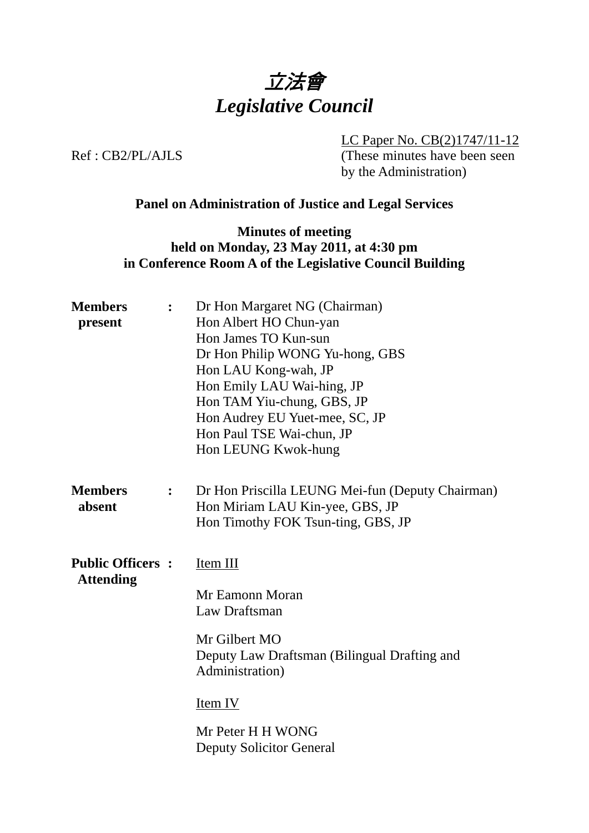

LC Paper No. CB(2)1747/11-12 Ref : CB2/PL/AJLS (These minutes have been seen by the Administration)

# **Panel on Administration of Justice and Legal Services**

## **Minutes of meeting held on Monday, 23 May 2011, at 4:30 pm in Conference Room A of the Legislative Council Building**

| <b>Members</b><br>present                   | $\ddot{\cdot}$   | Dr Hon Margaret NG (Chairman)<br>Hon Albert HO Chun-yan<br>Hon James TO Kun-sun<br>Dr Hon Philip WONG Yu-hong, GBS<br>Hon LAU Kong-wah, JP<br>Hon Emily LAU Wai-hing, JP<br>Hon TAM Yiu-chung, GBS, JP<br>Hon Audrey EU Yuet-mee, SC, JP<br>Hon Paul TSE Wai-chun, JP<br>Hon LEUNG Kwok-hung |
|---------------------------------------------|------------------|----------------------------------------------------------------------------------------------------------------------------------------------------------------------------------------------------------------------------------------------------------------------------------------------|
| <b>Members</b><br>absent                    | $\ddot{\bullet}$ | Dr Hon Priscilla LEUNG Mei-fun (Deputy Chairman)<br>Hon Miriam LAU Kin-yee, GBS, JP<br>Hon Timothy FOK Tsun-ting, GBS, JP                                                                                                                                                                    |
| <b>Public Officers:</b><br><b>Attending</b> |                  | Item III<br>Mr Eamonn Moran<br>Law Draftsman<br>Mr Gilbert MO<br>Deputy Law Draftsman (Bilingual Drafting and<br>Administration)<br>Item IV<br>Mr Peter H H WONG<br><b>Deputy Solicitor General</b>                                                                                          |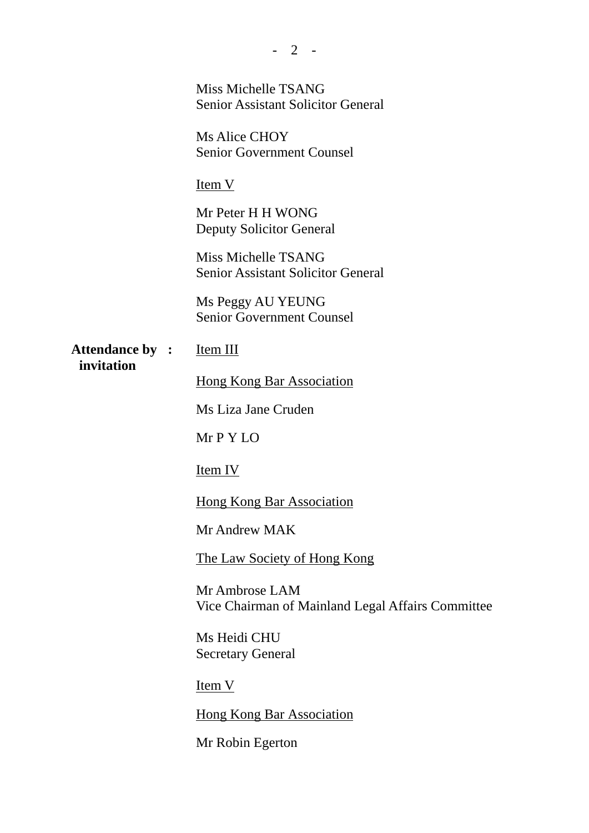|                                      | Miss Michelle TSANG<br><b>Senior Assistant Solicitor General</b>    |
|--------------------------------------|---------------------------------------------------------------------|
|                                      | Ms Alice CHOY<br><b>Senior Government Counsel</b>                   |
|                                      | <u>Item V</u>                                                       |
|                                      | Mr Peter H H WONG<br><b>Deputy Solicitor General</b>                |
|                                      | Miss Michelle TSANG<br><b>Senior Assistant Solicitor General</b>    |
|                                      | Ms Peggy AU YEUNG<br><b>Senior Government Counsel</b>               |
| <b>Attendance by :</b><br>invitation | Item III                                                            |
|                                      | <b>Hong Kong Bar Association</b>                                    |
|                                      | Ms Liza Jane Cruden                                                 |
|                                      | Mr P Y LO                                                           |
|                                      | <u>Item IV</u>                                                      |
|                                      | <u>Hong Kong Bar Association</u>                                    |
|                                      | Mr Andrew MAK                                                       |
|                                      | The Law Society of Hong Kong                                        |
|                                      | Mr Ambrose LAM<br>Vice Chairman of Mainland Legal Affairs Committee |
|                                      | Ms Heidi CHU<br><b>Secretary General</b>                            |
|                                      | $Item V$                                                            |
|                                      | <b>Hong Kong Bar Association</b>                                    |
|                                      | Mr Robin Egerton                                                    |

- 2 -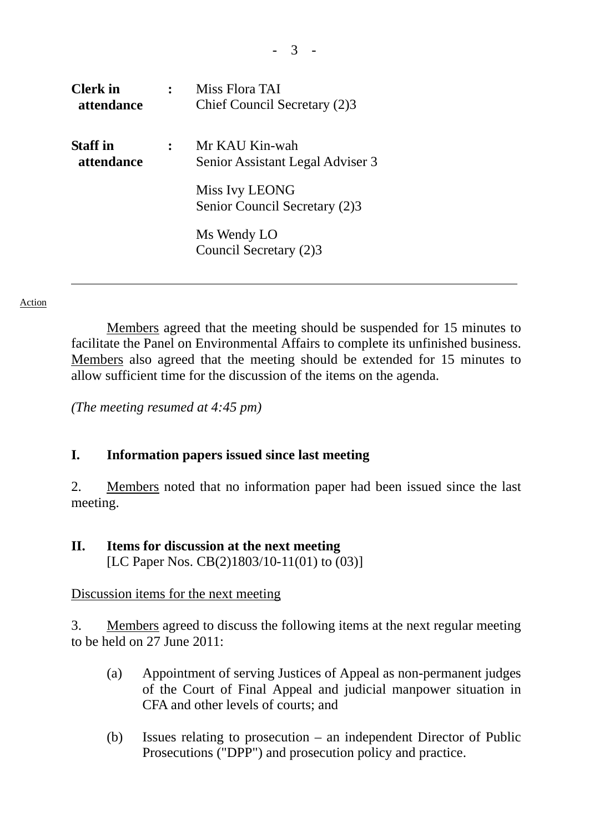| <b>Clerk</b> in<br>attendance | Miss Flora TAI<br>Chief Council Secretary (2)3     |
|-------------------------------|----------------------------------------------------|
| <b>Staff</b> in<br>attendance | Mr KAU Kin-wah<br>Senior Assistant Legal Adviser 3 |
|                               | Miss Ivy LEONG<br>Senior Council Secretary (2)3    |
|                               | Ms Wendy LO<br>Council Secretary (2)3              |

 Members agreed that the meeting should be suspended for 15 minutes to facilitate the Panel on Environmental Affairs to complete its unfinished business. Members also agreed that the meeting should be extended for 15 minutes to allow sufficient time for the discussion of the items on the agenda.

*(The meeting resumed at 4:45 pm)* 

## **I. Information papers issued since last meeting**

2. Members noted that no information paper had been issued since the last meeting.

#### **II. Items for discussion at the next meeting**  [LC Paper Nos. CB(2)1803/10-11(01) to (03)]

#### Discussion items for the next meeting

3. Members agreed to discuss the following items at the next regular meeting to be held on 27 June 2011:

- (a) Appointment of serving Justices of Appeal as non-permanent judges of the Court of Final Appeal and judicial manpower situation in CFA and other levels of courts; and
- (b) Issues relating to prosecution an independent Director of Public Prosecutions ("DPP") and prosecution policy and practice.

- 3 -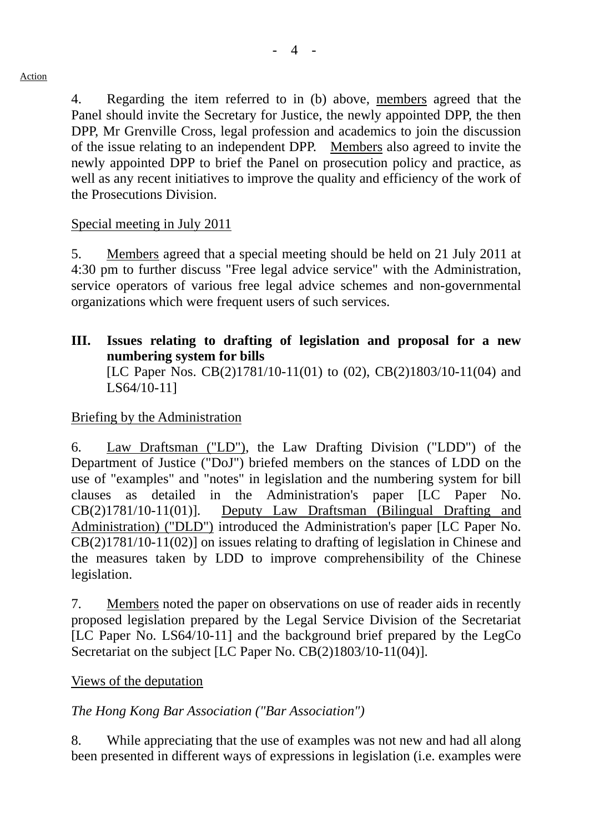4. Regarding the item referred to in (b) above, members agreed that the Panel should invite the Secretary for Justice, the newly appointed DPP, the then DPP, Mr Grenville Cross, legal profession and academics to join the discussion of the issue relating to an independent DPP. Members also agreed to invite the newly appointed DPP to brief the Panel on prosecution policy and practice, as well as any recent initiatives to improve the quality and efficiency of the work of the Prosecutions Division.

# Special meeting in July 2011

5. Members agreed that a special meeting should be held on 21 July 2011 at 4:30 pm to further discuss "Free legal advice service" with the Administration, service operators of various free legal advice schemes and non-governmental organizations which were frequent users of such services.

**III. Issues relating to drafting of legislation and proposal for a new numbering system for bills** 

[LC Paper Nos. CB(2)1781/10-11(01) to (02), CB(2)1803/10-11(04) and LS64/10-11]

# Briefing by the Administration

6. Law Draftsman ("LD"), the Law Drafting Division ("LDD") of the Department of Justice ("DoJ") briefed members on the stances of LDD on the use of "examples" and "notes" in legislation and the numbering system for bill clauses as detailed in the Administration's paper [LC Paper No. CB(2)1781/10-11(01)]. Deputy Law Draftsman (Bilingual Drafting and Administration) ("DLD") introduced the Administration's paper [LC Paper No. CB(2)1781/10-11(02)] on issues relating to drafting of legislation in Chinese and the measures taken by LDD to improve comprehensibility of the Chinese legislation.

7. Members noted the paper on observations on use of reader aids in recently proposed legislation prepared by the Legal Service Division of the Secretariat [LC Paper No. LS64/10-11] and the background brief prepared by the LegCo Secretariat on the subject [LC Paper No. CB(2)1803/10-11(04)].

## Views of the deputation

# *The Hong Kong Bar Association ("Bar Association")*

8. While appreciating that the use of examples was not new and had all along been presented in different ways of expressions in legislation (i.e. examples were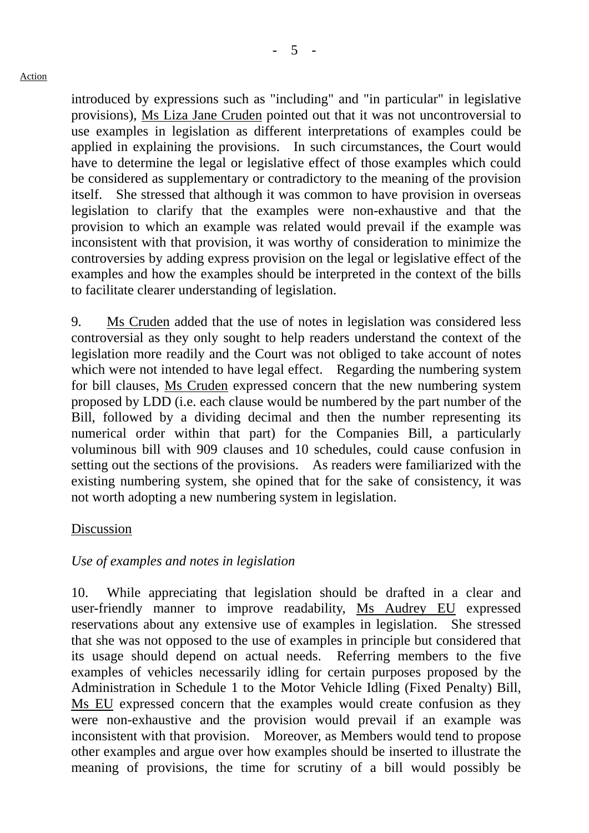$-5 -$ 

introduced by expressions such as "including" and "in particular" in legislative provisions), Ms Liza Jane Cruden pointed out that it was not uncontroversial to use examples in legislation as different interpretations of examples could be applied in explaining the provisions. In such circumstances, the Court would have to determine the legal or legislative effect of those examples which could be considered as supplementary or contradictory to the meaning of the provision itself. She stressed that although it was common to have provision in overseas legislation to clarify that the examples were non-exhaustive and that the provision to which an example was related would prevail if the example was inconsistent with that provision, it was worthy of consideration to minimize the controversies by adding express provision on the legal or legislative effect of the examples and how the examples should be interpreted in the context of the bills to facilitate clearer understanding of legislation.

9. Ms Cruden added that the use of notes in legislation was considered less controversial as they only sought to help readers understand the context of the legislation more readily and the Court was not obliged to take account of notes which were not intended to have legal effect. Regarding the numbering system for bill clauses, Ms Cruden expressed concern that the new numbering system proposed by LDD (i.e. each clause would be numbered by the part number of the Bill, followed by a dividing decimal and then the number representing its numerical order within that part) for the Companies Bill, a particularly voluminous bill with 909 clauses and 10 schedules, could cause confusion in setting out the sections of the provisions. As readers were familiarized with the existing numbering system, she opined that for the sake of consistency, it was not worth adopting a new numbering system in legislation.

# Discussion

# *Use of examples and notes in legislation*

10. While appreciating that legislation should be drafted in a clear and user-friendly manner to improve readability, Ms Audrey EU expressed reservations about any extensive use of examples in legislation. She stressed that she was not opposed to the use of examples in principle but considered that its usage should depend on actual needs. Referring members to the five examples of vehicles necessarily idling for certain purposes proposed by the Administration in Schedule 1 to the Motor Vehicle Idling (Fixed Penalty) Bill, Ms EU expressed concern that the examples would create confusion as they were non-exhaustive and the provision would prevail if an example was inconsistent with that provision. Moreover, as Members would tend to propose other examples and argue over how examples should be inserted to illustrate the meaning of provisions, the time for scrutiny of a bill would possibly be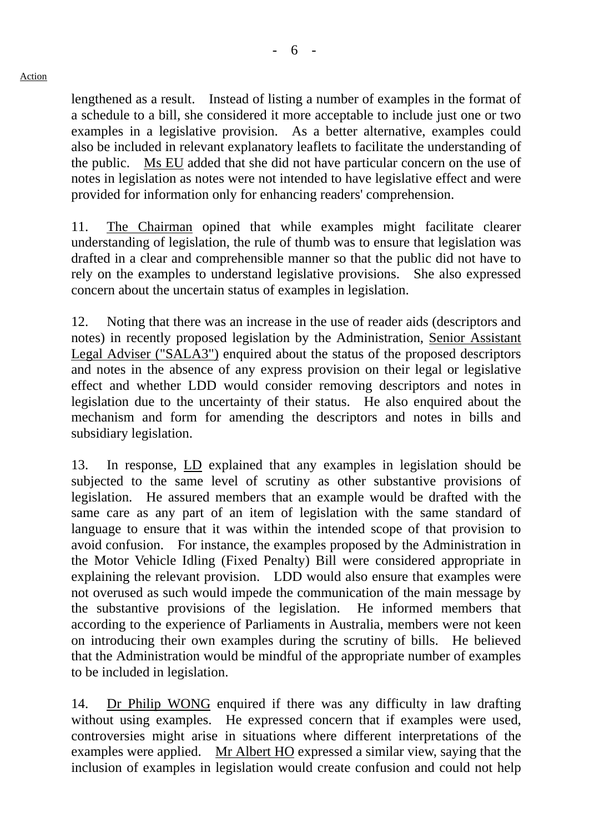lengthened as a result. Instead of listing a number of examples in the format of a schedule to a bill, she considered it more acceptable to include just one or two examples in a legislative provision. As a better alternative, examples could also be included in relevant explanatory leaflets to facilitate the understanding of the public. Ms EU added that she did not have particular concern on the use of notes in legislation as notes were not intended to have legislative effect and were provided for information only for enhancing readers' comprehension.

11. The Chairman opined that while examples might facilitate clearer understanding of legislation, the rule of thumb was to ensure that legislation was drafted in a clear and comprehensible manner so that the public did not have to rely on the examples to understand legislative provisions. She also expressed concern about the uncertain status of examples in legislation.

12. Noting that there was an increase in the use of reader aids (descriptors and notes) in recently proposed legislation by the Administration, Senior Assistant Legal Adviser ("SALA3") enquired about the status of the proposed descriptors and notes in the absence of any express provision on their legal or legislative effect and whether LDD would consider removing descriptors and notes in legislation due to the uncertainty of their status. He also enquired about the mechanism and form for amending the descriptors and notes in bills and subsidiary legislation.

13. In response, LD explained that any examples in legislation should be subjected to the same level of scrutiny as other substantive provisions of legislation. He assured members that an example would be drafted with the same care as any part of an item of legislation with the same standard of language to ensure that it was within the intended scope of that provision to avoid confusion. For instance, the examples proposed by the Administration in the Motor Vehicle Idling (Fixed Penalty) Bill were considered appropriate in explaining the relevant provision. LDD would also ensure that examples were not overused as such would impede the communication of the main message by the substantive provisions of the legislation. He informed members that according to the experience of Parliaments in Australia, members were not keen on introducing their own examples during the scrutiny of bills. He believed that the Administration would be mindful of the appropriate number of examples to be included in legislation.

14. Dr Philip WONG enquired if there was any difficulty in law drafting without using examples. He expressed concern that if examples were used, controversies might arise in situations where different interpretations of the examples were applied. Mr Albert HO expressed a similar view, saying that the inclusion of examples in legislation would create confusion and could not help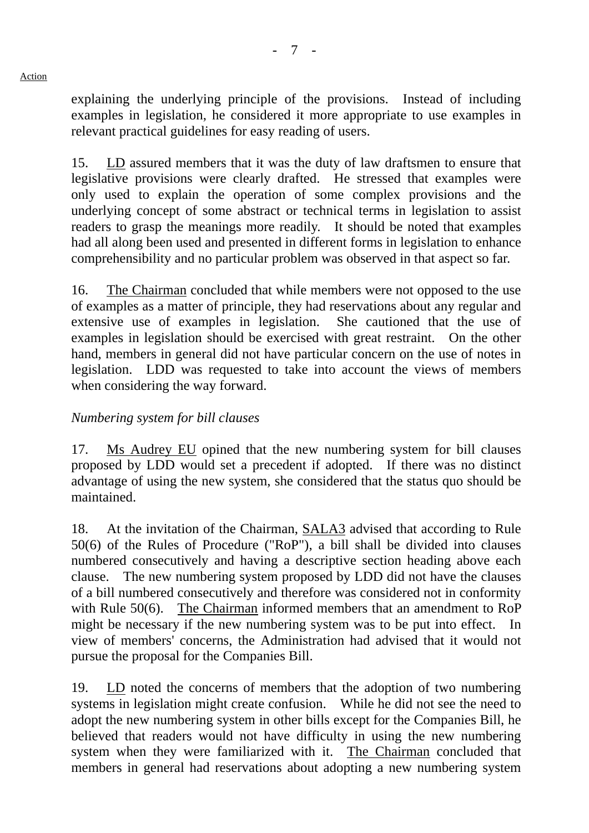explaining the underlying principle of the provisions. Instead of including examples in legislation, he considered it more appropriate to use examples in relevant practical guidelines for easy reading of users.

15. LD assured members that it was the duty of law draftsmen to ensure that legislative provisions were clearly drafted. He stressed that examples were only used to explain the operation of some complex provisions and the underlying concept of some abstract or technical terms in legislation to assist readers to grasp the meanings more readily. It should be noted that examples had all along been used and presented in different forms in legislation to enhance comprehensibility and no particular problem was observed in that aspect so far.

16. The Chairman concluded that while members were not opposed to the use of examples as a matter of principle, they had reservations about any regular and extensive use of examples in legislation. She cautioned that the use of examples in legislation should be exercised with great restraint. On the other hand, members in general did not have particular concern on the use of notes in legislation. LDD was requested to take into account the views of members when considering the way forward.

# *Numbering system for bill clauses*

17. Ms Audrey EU opined that the new numbering system for bill clauses proposed by LDD would set a precedent if adopted. If there was no distinct advantage of using the new system, she considered that the status quo should be maintained.

18. At the invitation of the Chairman, SALA3 advised that according to Rule 50(6) of the Rules of Procedure ("RoP"), a bill shall be divided into clauses numbered consecutively and having a descriptive section heading above each clause. The new numbering system proposed by LDD did not have the clauses of a bill numbered consecutively and therefore was considered not in conformity with Rule 50(6). The Chairman informed members that an amendment to RoP might be necessary if the new numbering system was to be put into effect. view of members' concerns, the Administration had advised that it would not pursue the proposal for the Companies Bill.

19. LD noted the concerns of members that the adoption of two numbering systems in legislation might create confusion. While he did not see the need to adopt the new numbering system in other bills except for the Companies Bill, he believed that readers would not have difficulty in using the new numbering system when they were familiarized with it. The Chairman concluded that members in general had reservations about adopting a new numbering system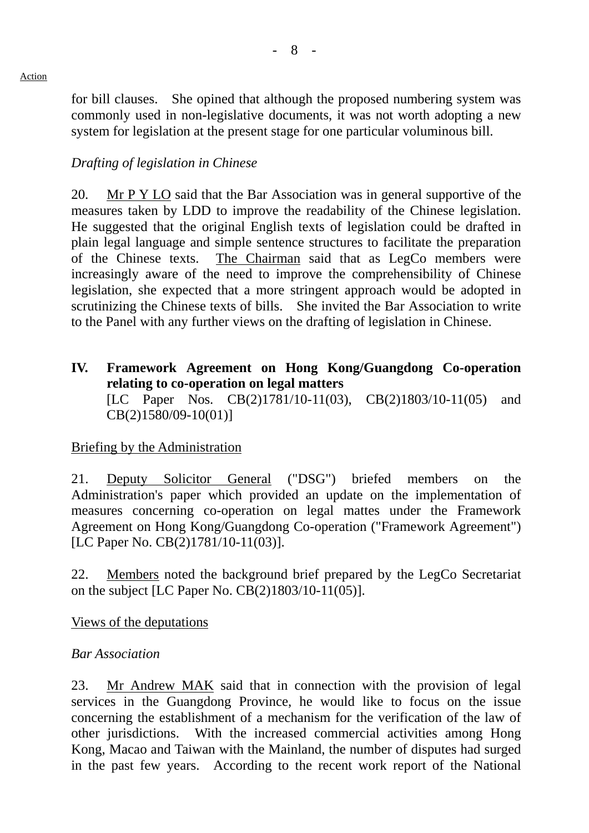for bill clauses. She opined that although the proposed numbering system was commonly used in non-legislative documents, it was not worth adopting a new system for legislation at the present stage for one particular voluminous bill.

# *Drafting of legislation in Chinese*

20. Mr P Y LO said that the Bar Association was in general supportive of the measures taken by LDD to improve the readability of the Chinese legislation. He suggested that the original English texts of legislation could be drafted in plain legal language and simple sentence structures to facilitate the preparation of the Chinese texts. The Chairman said that as LegCo members were increasingly aware of the need to improve the comprehensibility of Chinese legislation, she expected that a more stringent approach would be adopted in scrutinizing the Chinese texts of bills. She invited the Bar Association to write to the Panel with any further views on the drafting of legislation in Chinese.

**IV. Framework Agreement on Hong Kong/Guangdong Co-operation relating to co-operation on legal matters**  [LC Paper Nos. CB(2)1781/10-11(03), CB(2)1803/10-11(05) and CB(2)1580/09-10(01)]

## Briefing by the Administration

21. Deputy Solicitor General ("DSG") briefed members on the Administration's paper which provided an update on the implementation of measures concerning co-operation on legal mattes under the Framework Agreement on Hong Kong/Guangdong Co-operation ("Framework Agreement") [LC Paper No. CB(2)1781/10-11(03)].

22. Members noted the background brief prepared by the LegCo Secretariat on the subject [LC Paper No. CB(2)1803/10-11(05)].

Views of the deputations

## *Bar Association*

23. Mr Andrew MAK said that in connection with the provision of legal services in the Guangdong Province, he would like to focus on the issue concerning the establishment of a mechanism for the verification of the law of other jurisdictions. With the increased commercial activities among Hong Kong, Macao and Taiwan with the Mainland, the number of disputes had surged in the past few years. According to the recent work report of the National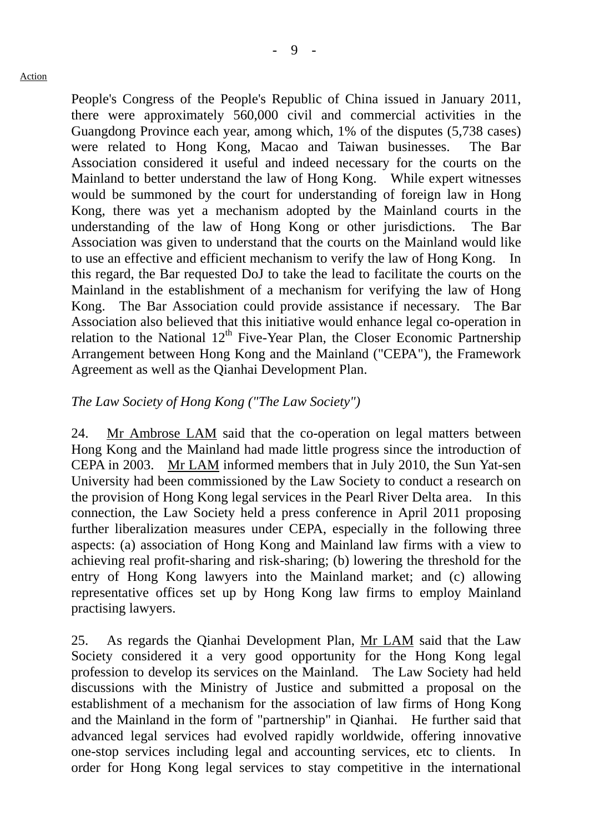People's Congress of the People's Republic of China issued in January 2011, there were approximately 560,000 civil and commercial activities in the Guangdong Province each year, among which, 1% of the disputes (5,738 cases) were related to Hong Kong, Macao and Taiwan businesses. The Bar Association considered it useful and indeed necessary for the courts on the Mainland to better understand the law of Hong Kong. While expert witnesses would be summoned by the court for understanding of foreign law in Hong Kong, there was yet a mechanism adopted by the Mainland courts in the understanding of the law of Hong Kong or other jurisdictions. The Bar Association was given to understand that the courts on the Mainland would like to use an effective and efficient mechanism to verify the law of Hong Kong. this regard, the Bar requested DoJ to take the lead to facilitate the courts on the Mainland in the establishment of a mechanism for verifying the law of Hong Kong. The Bar Association could provide assistance if necessary. The Bar Association also believed that this initiative would enhance legal co-operation in relation to the National  $12<sup>th</sup>$  Five-Year Plan, the Closer Economic Partnership Arrangement between Hong Kong and the Mainland ("CEPA"), the Framework Agreement as well as the Qianhai Development Plan.

## *The Law Society of Hong Kong ("The Law Society")*

24. Mr Ambrose LAM said that the co-operation on legal matters between Hong Kong and the Mainland had made little progress since the introduction of CEPA in 2003. Mr LAM informed members that in July 2010, the Sun Yat-sen University had been commissioned by the Law Society to conduct a research on the provision of Hong Kong legal services in the Pearl River Delta area. In this connection, the Law Society held a press conference in April 2011 proposing further liberalization measures under CEPA, especially in the following three aspects: (a) association of Hong Kong and Mainland law firms with a view to achieving real profit-sharing and risk-sharing; (b) lowering the threshold for the entry of Hong Kong lawyers into the Mainland market; and (c) allowing representative offices set up by Hong Kong law firms to employ Mainland practising lawyers.

25. As regards the Qianhai Development Plan, Mr LAM said that the Law Society considered it a very good opportunity for the Hong Kong legal profession to develop its services on the Mainland. The Law Society had held discussions with the Ministry of Justice and submitted a proposal on the establishment of a mechanism for the association of law firms of Hong Kong and the Mainland in the form of "partnership" in Qianhai. He further said that advanced legal services had evolved rapidly worldwide, offering innovative one-stop services including legal and accounting services, etc to clients. In order for Hong Kong legal services to stay competitive in the international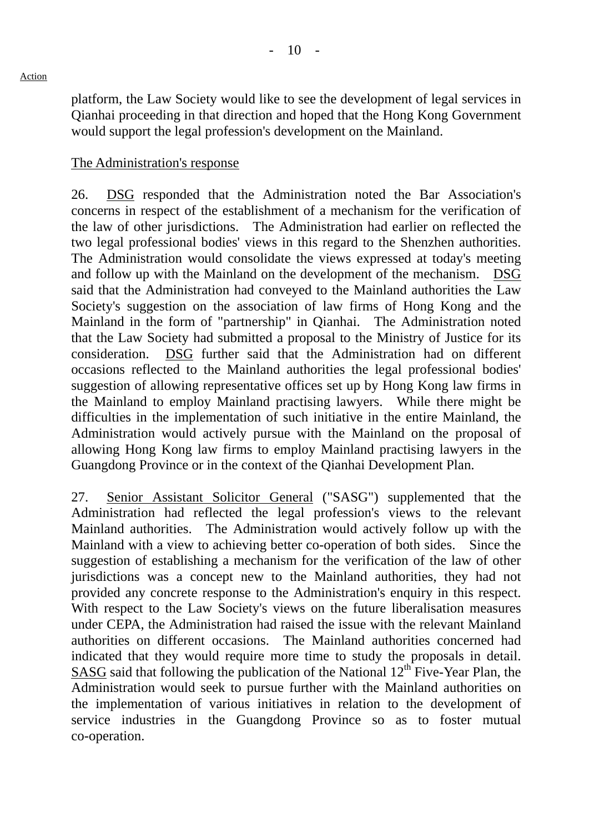platform, the Law Society would like to see the development of legal services in Qianhai proceeding in that direction and hoped that the Hong Kong Government would support the legal profession's development on the Mainland.

#### The Administration's response

26. DSG responded that the Administration noted the Bar Association's concerns in respect of the establishment of a mechanism for the verification of the law of other jurisdictions. The Administration had earlier on reflected the two legal professional bodies' views in this regard to the Shenzhen authorities. The Administration would consolidate the views expressed at today's meeting and follow up with the Mainland on the development of the mechanism. DSG said that the Administration had conveyed to the Mainland authorities the Law Society's suggestion on the association of law firms of Hong Kong and the Mainland in the form of "partnership" in Qianhai. The Administration noted that the Law Society had submitted a proposal to the Ministry of Justice for its consideration. DSG further said that the Administration had on different occasions reflected to the Mainland authorities the legal professional bodies' suggestion of allowing representative offices set up by Hong Kong law firms in the Mainland to employ Mainland practising lawyers. While there might be difficulties in the implementation of such initiative in the entire Mainland, the Administration would actively pursue with the Mainland on the proposal of allowing Hong Kong law firms to employ Mainland practising lawyers in the Guangdong Province or in the context of the Qianhai Development Plan.

27. Senior Assistant Solicitor General ("SASG") supplemented that the Administration had reflected the legal profession's views to the relevant Mainland authorities. The Administration would actively follow up with the Mainland with a view to achieving better co-operation of both sides. Since the suggestion of establishing a mechanism for the verification of the law of other jurisdictions was a concept new to the Mainland authorities, they had not provided any concrete response to the Administration's enquiry in this respect. With respect to the Law Society's views on the future liberalisation measures under CEPA, the Administration had raised the issue with the relevant Mainland authorities on different occasions. The Mainland authorities concerned had indicated that they would require more time to study the proposals in detail. SASG said that following the publication of the National  $12<sup>th</sup>$  Five-Year Plan, the Administration would seek to pursue further with the Mainland authorities on the implementation of various initiatives in relation to the development of service industries in the Guangdong Province so as to foster mutual co-operation.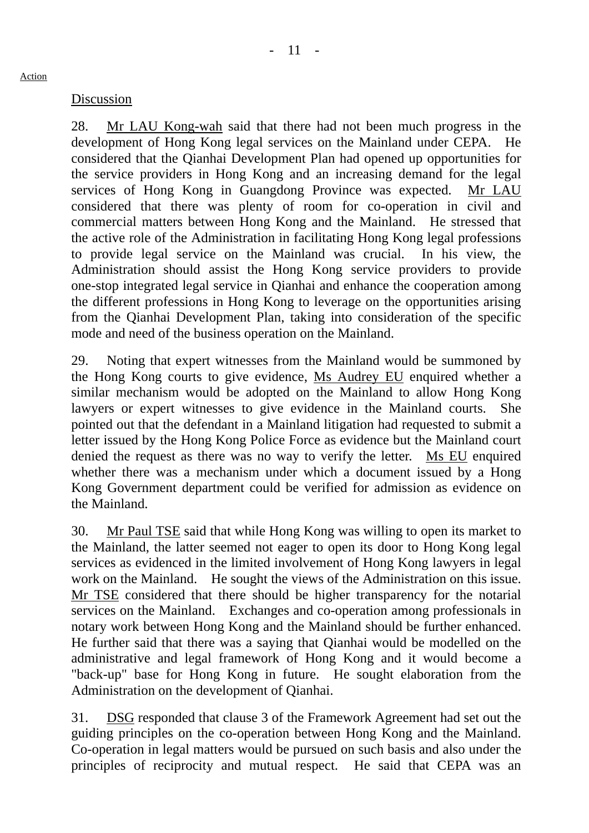#### Discussion

28. Mr LAU Kong-wah said that there had not been much progress in the development of Hong Kong legal services on the Mainland under CEPA. He considered that the Qianhai Development Plan had opened up opportunities for the service providers in Hong Kong and an increasing demand for the legal services of Hong Kong in Guangdong Province was expected. Mr LAU considered that there was plenty of room for co-operation in civil and commercial matters between Hong Kong and the Mainland. He stressed that the active role of the Administration in facilitating Hong Kong legal professions to provide legal service on the Mainland was crucial. In his view, the Administration should assist the Hong Kong service providers to provide one-stop integrated legal service in Qianhai and enhance the cooperation among the different professions in Hong Kong to leverage on the opportunities arising from the Qianhai Development Plan, taking into consideration of the specific mode and need of the business operation on the Mainland.

29. Noting that expert witnesses from the Mainland would be summoned by the Hong Kong courts to give evidence, Ms Audrey EU enquired whether a similar mechanism would be adopted on the Mainland to allow Hong Kong lawyers or expert witnesses to give evidence in the Mainland courts. She pointed out that the defendant in a Mainland litigation had requested to submit a letter issued by the Hong Kong Police Force as evidence but the Mainland court denied the request as there was no way to verify the letter. Ms EU enquired whether there was a mechanism under which a document issued by a Hong Kong Government department could be verified for admission as evidence on the Mainland.

30. Mr Paul TSE said that while Hong Kong was willing to open its market to the Mainland, the latter seemed not eager to open its door to Hong Kong legal services as evidenced in the limited involvement of Hong Kong lawyers in legal work on the Mainland. He sought the views of the Administration on this issue. Mr TSE considered that there should be higher transparency for the notarial services on the Mainland. Exchanges and co-operation among professionals in notary work between Hong Kong and the Mainland should be further enhanced. He further said that there was a saying that Qianhai would be modelled on the administrative and legal framework of Hong Kong and it would become a "back-up" base for Hong Kong in future. He sought elaboration from the Administration on the development of Qianhai.

31. DSG responded that clause 3 of the Framework Agreement had set out the guiding principles on the co-operation between Hong Kong and the Mainland. Co-operation in legal matters would be pursued on such basis and also under the principles of reciprocity and mutual respect. He said that CEPA was an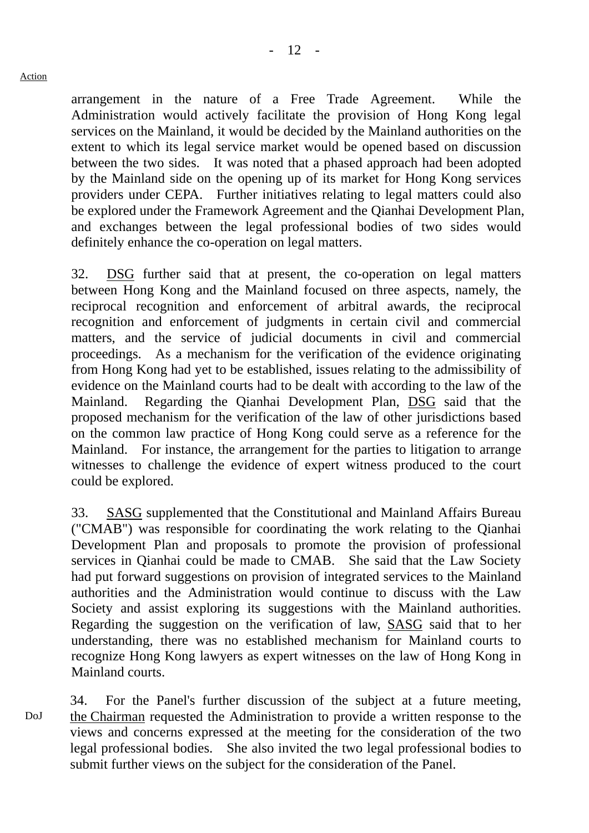arrangement in the nature of a Free Trade Agreement. While the Administration would actively facilitate the provision of Hong Kong legal services on the Mainland, it would be decided by the Mainland authorities on the extent to which its legal service market would be opened based on discussion between the two sides. It was noted that a phased approach had been adopted by the Mainland side on the opening up of its market for Hong Kong services providers under CEPA. Further initiatives relating to legal matters could also be explored under the Framework Agreement and the Qianhai Development Plan, and exchanges between the legal professional bodies of two sides would definitely enhance the co-operation on legal matters.

32. DSG further said that at present, the co-operation on legal matters between Hong Kong and the Mainland focused on three aspects, namely, the reciprocal recognition and enforcement of arbitral awards, the reciprocal recognition and enforcement of judgments in certain civil and commercial matters, and the service of judicial documents in civil and commercial proceedings. As a mechanism for the verification of the evidence originating from Hong Kong had yet to be established, issues relating to the admissibility of evidence on the Mainland courts had to be dealt with according to the law of the Mainland. Regarding the Qianhai Development Plan, DSG said that the proposed mechanism for the verification of the law of other jurisdictions based on the common law practice of Hong Kong could serve as a reference for the Mainland. For instance, the arrangement for the parties to litigation to arrange witnesses to challenge the evidence of expert witness produced to the court could be explored.

33. SASG supplemented that the Constitutional and Mainland Affairs Bureau ("CMAB") was responsible for coordinating the work relating to the Qianhai Development Plan and proposals to promote the provision of professional services in Qianhai could be made to CMAB. She said that the Law Society had put forward suggestions on provision of integrated services to the Mainland authorities and the Administration would continue to discuss with the Law Society and assist exploring its suggestions with the Mainland authorities. Regarding the suggestion on the verification of law, SASG said that to her understanding, there was no established mechanism for Mainland courts to recognize Hong Kong lawyers as expert witnesses on the law of Hong Kong in Mainland courts.

DoJ 34. For the Panel's further discussion of the subject at a future meeting, the Chairman requested the Administration to provide a written response to the views and concerns expressed at the meeting for the consideration of the two legal professional bodies. She also invited the two legal professional bodies to submit further views on the subject for the consideration of the Panel.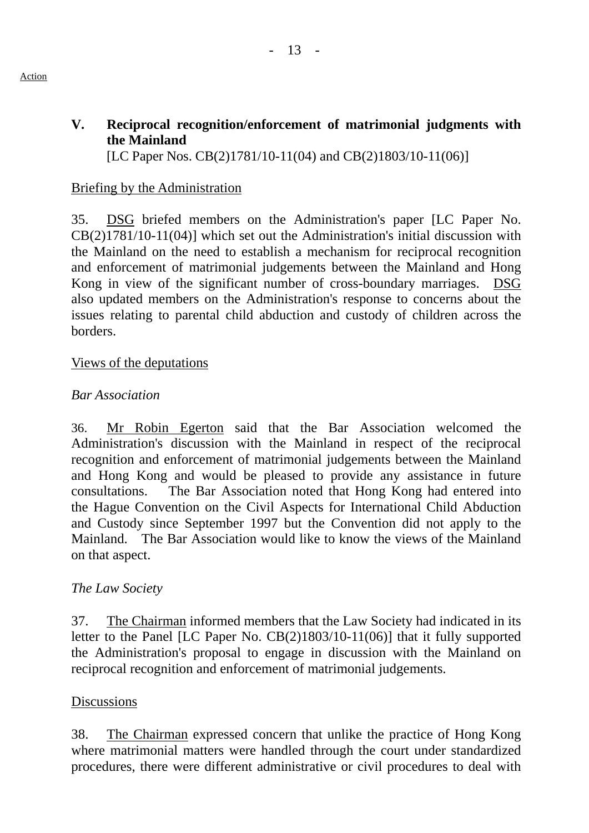# **V. Reciprocal recognition/enforcement of matrimonial judgments with the Mainland**

[LC Paper Nos. CB(2)1781/10-11(04) and CB(2)1803/10-11(06)]

# Briefing by the Administration

35. DSG briefed members on the Administration's paper [LC Paper No. CB(2)1781/10-11(04)] which set out the Administration's initial discussion with the Mainland on the need to establish a mechanism for reciprocal recognition and enforcement of matrimonial judgements between the Mainland and Hong Kong in view of the significant number of cross-boundary marriages. DSG also updated members on the Administration's response to concerns about the issues relating to parental child abduction and custody of children across the borders.

# Views of the deputations

# *Bar Association*

36. Mr Robin Egerton said that the Bar Association welcomed the Administration's discussion with the Mainland in respect of the reciprocal recognition and enforcement of matrimonial judgements between the Mainland and Hong Kong and would be pleased to provide any assistance in future consultations. The Bar Association noted that Hong Kong had entered into the Hague Convention on the Civil Aspects for International Child Abduction and Custody since September 1997 but the Convention did not apply to the Mainland. The Bar Association would like to know the views of the Mainland on that aspect.

# *The Law Society*

37. The Chairman informed members that the Law Society had indicated in its letter to the Panel [LC Paper No. CB(2)1803/10-11(06)] that it fully supported the Administration's proposal to engage in discussion with the Mainland on reciprocal recognition and enforcement of matrimonial judgements.

## **Discussions**

38. The Chairman expressed concern that unlike the practice of Hong Kong where matrimonial matters were handled through the court under standardized procedures, there were different administrative or civil procedures to deal with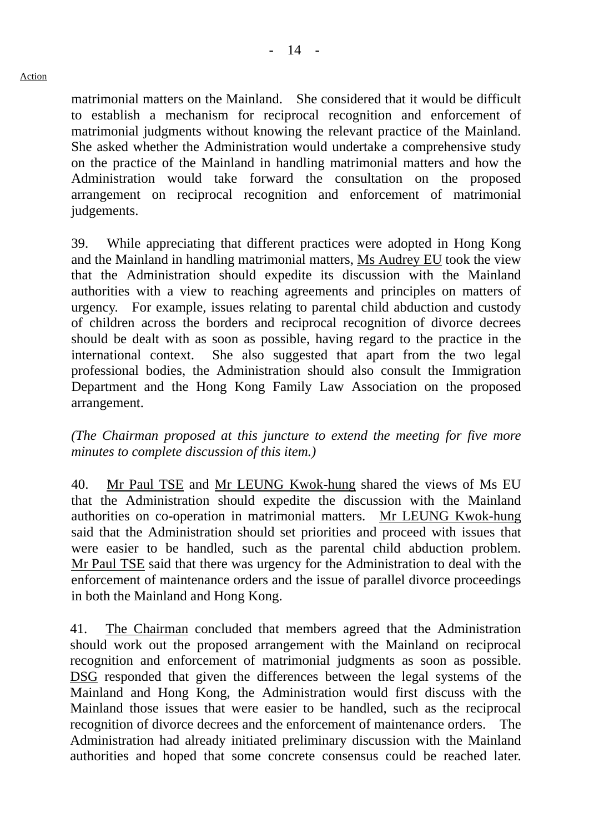matrimonial matters on the Mainland. She considered that it would be difficult to establish a mechanism for reciprocal recognition and enforcement of matrimonial judgments without knowing the relevant practice of the Mainland. She asked whether the Administration would undertake a comprehensive study on the practice of the Mainland in handling matrimonial matters and how the Administration would take forward the consultation on the proposed arrangement on reciprocal recognition and enforcement of matrimonial judgements.

39. While appreciating that different practices were adopted in Hong Kong and the Mainland in handling matrimonial matters, Ms Audrey EU took the view that the Administration should expedite its discussion with the Mainland authorities with a view to reaching agreements and principles on matters of urgency. For example, issues relating to parental child abduction and custody of children across the borders and reciprocal recognition of divorce decrees should be dealt with as soon as possible, having regard to the practice in the international context. She also suggested that apart from the two legal professional bodies, the Administration should also consult the Immigration Department and the Hong Kong Family Law Association on the proposed arrangement.

*(The Chairman proposed at this juncture to extend the meeting for five more minutes to complete discussion of this item.)* 

40. Mr Paul TSE and Mr LEUNG Kwok-hung shared the views of Ms EU that the Administration should expedite the discussion with the Mainland authorities on co-operation in matrimonial matters. Mr LEUNG Kwok-hung said that the Administration should set priorities and proceed with issues that were easier to be handled, such as the parental child abduction problem. Mr Paul TSE said that there was urgency for the Administration to deal with the enforcement of maintenance orders and the issue of parallel divorce proceedings in both the Mainland and Hong Kong.

41. The Chairman concluded that members agreed that the Administration should work out the proposed arrangement with the Mainland on reciprocal recognition and enforcement of matrimonial judgments as soon as possible. DSG responded that given the differences between the legal systems of the Mainland and Hong Kong, the Administration would first discuss with the Mainland those issues that were easier to be handled, such as the reciprocal recognition of divorce decrees and the enforcement of maintenance orders. The Administration had already initiated preliminary discussion with the Mainland authorities and hoped that some concrete consensus could be reached later.